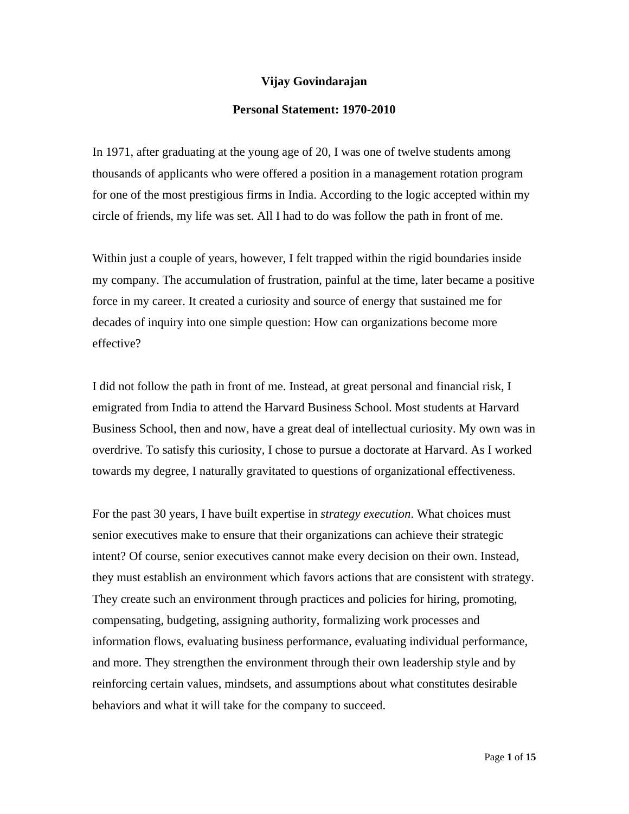#### **Vijay Govindarajan**

#### **Personal Statement: 1970-2010**

In 1971, after graduating at the young age of 20, I was one of twelve students among thousands of applicants who were offered a position in a management rotation program for one of the most prestigious firms in India. According to the logic accepted within my circle of friends, my life was set. All I had to do was follow the path in front of me.

Within just a couple of years, however, I felt trapped within the rigid boundaries inside my company. The accumulation of frustration, painful at the time, later became a positive force in my career. It created a curiosity and source of energy that sustained me for decades of inquiry into one simple question: How can organizations become more effective?

I did not follow the path in front of me. Instead, at great personal and financial risk, I emigrated from India to attend the Harvard Business School. Most students at Harvard Business School, then and now, have a great deal of intellectual curiosity. My own was in overdrive. To satisfy this curiosity, I chose to pursue a doctorate at Harvard. As I worked towards my degree, I naturally gravitated to questions of organizational effectiveness.

For the past 30 years, I have built expertise in *strategy execution*. What choices must senior executives make to ensure that their organizations can achieve their strategic intent? Of course, senior executives cannot make every decision on their own. Instead, they must establish an environment which favors actions that are consistent with strategy. They create such an environment through practices and policies for hiring, promoting, compensating, budgeting, assigning authority, formalizing work processes and information flows, evaluating business performance, evaluating individual performance, and more. They strengthen the environment through their own leadership style and by reinforcing certain values, mindsets, and assumptions about what constitutes desirable behaviors and what it will take for the company to succeed.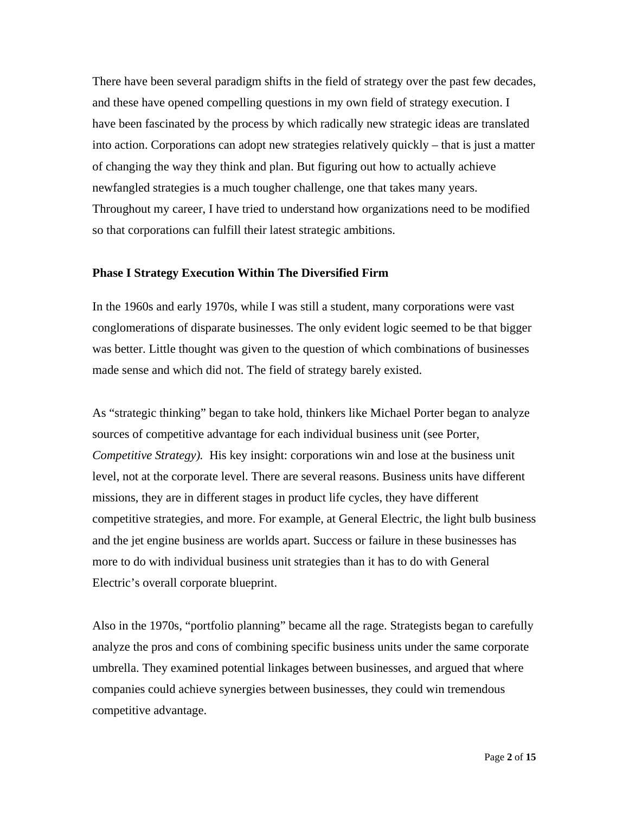There have been several paradigm shifts in the field of strategy over the past few decades, and these have opened compelling questions in my own field of strategy execution. I have been fascinated by the process by which radically new strategic ideas are translated into action. Corporations can adopt new strategies relatively quickly – that is just a matter of changing the way they think and plan. But figuring out how to actually achieve newfangled strategies is a much tougher challenge, one that takes many years. Throughout my career, I have tried to understand how organizations need to be modified so that corporations can fulfill their latest strategic ambitions.

#### **Phase I Strategy Execution Within The Diversified Firm**

In the 1960s and early 1970s, while I was still a student, many corporations were vast conglomerations of disparate businesses. The only evident logic seemed to be that bigger was better. Little thought was given to the question of which combinations of businesses made sense and which did not. The field of strategy barely existed.

As "strategic thinking" began to take hold, thinkers like Michael Porter began to analyze sources of competitive advantage for each individual business unit (see Porter, *Competitive Strategy).* His key insight: corporations win and lose at the business unit level, not at the corporate level. There are several reasons. Business units have different missions, they are in different stages in product life cycles, they have different competitive strategies, and more. For example, at General Electric, the light bulb business and the jet engine business are worlds apart. Success or failure in these businesses has more to do with individual business unit strategies than it has to do with General Electric's overall corporate blueprint.

Also in the 1970s, "portfolio planning" became all the rage. Strategists began to carefully analyze the pros and cons of combining specific business units under the same corporate umbrella. They examined potential linkages between businesses, and argued that where companies could achieve synergies between businesses, they could win tremendous competitive advantage.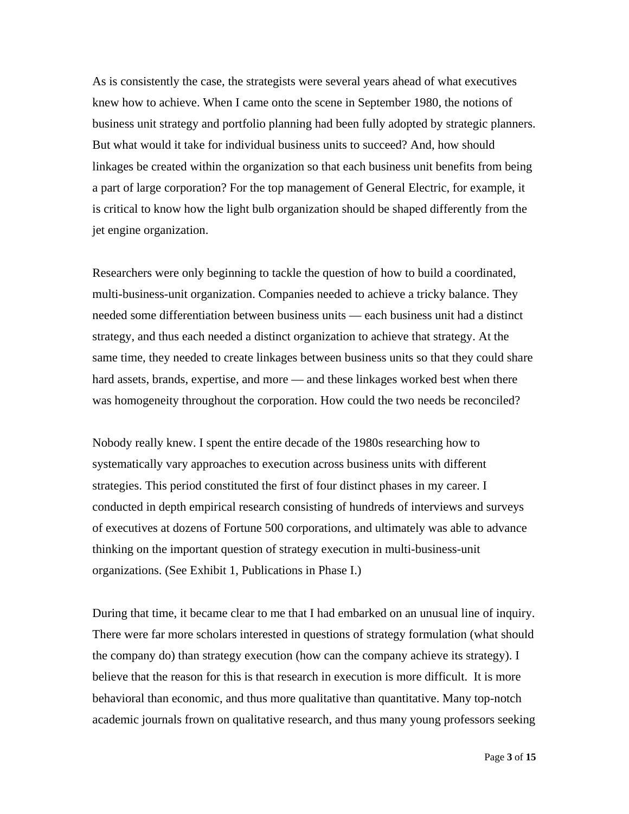As is consistently the case, the strategists were several years ahead of what executives knew how to achieve. When I came onto the scene in September 1980, the notions of business unit strategy and portfolio planning had been fully adopted by strategic planners. But what would it take for individual business units to succeed? And, how should linkages be created within the organization so that each business unit benefits from being a part of large corporation? For the top management of General Electric, for example, it is critical to know how the light bulb organization should be shaped differently from the jet engine organization.

Researchers were only beginning to tackle the question of how to build a coordinated, multi-business-unit organization. Companies needed to achieve a tricky balance. They needed some differentiation between business units — each business unit had a distinct strategy, and thus each needed a distinct organization to achieve that strategy. At the same time, they needed to create linkages between business units so that they could share hard assets, brands, expertise, and more — and these linkages worked best when there was homogeneity throughout the corporation. How could the two needs be reconciled?

Nobody really knew. I spent the entire decade of the 1980s researching how to systematically vary approaches to execution across business units with different strategies. This period constituted the first of four distinct phases in my career. I conducted in depth empirical research consisting of hundreds of interviews and surveys of executives at dozens of Fortune 500 corporations, and ultimately was able to advance thinking on the important question of strategy execution in multi-business-unit organizations. (See Exhibit 1, Publications in Phase I.)

During that time, it became clear to me that I had embarked on an unusual line of inquiry. There were far more scholars interested in questions of strategy formulation (what should the company do) than strategy execution (how can the company achieve its strategy). I believe that the reason for this is that research in execution is more difficult. It is more behavioral than economic, and thus more qualitative than quantitative. Many top-notch academic journals frown on qualitative research, and thus many young professors seeking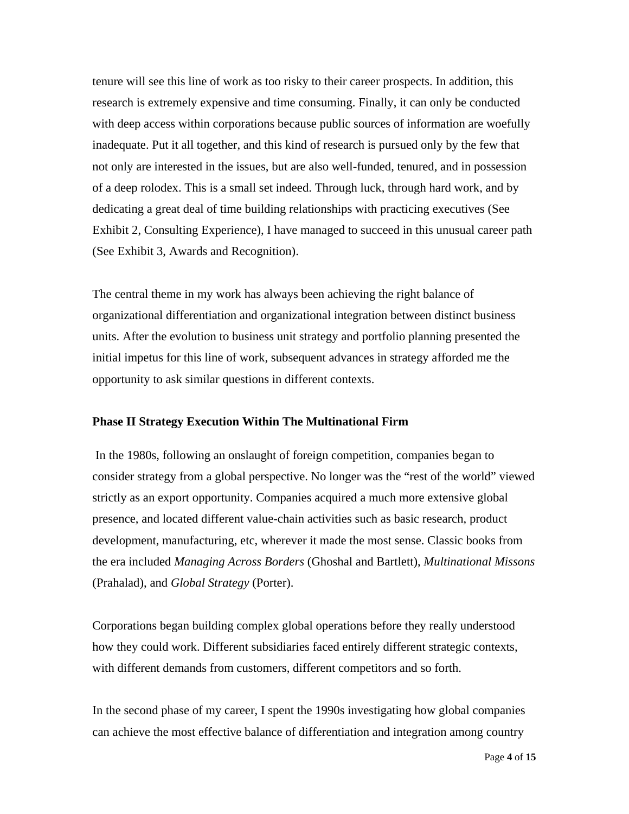tenure will see this line of work as too risky to their career prospects. In addition, this research is extremely expensive and time consuming. Finally, it can only be conducted with deep access within corporations because public sources of information are woefully inadequate. Put it all together, and this kind of research is pursued only by the few that not only are interested in the issues, but are also well-funded, tenured, and in possession of a deep rolodex. This is a small set indeed. Through luck, through hard work, and by dedicating a great deal of time building relationships with practicing executives (See Exhibit 2, Consulting Experience), I have managed to succeed in this unusual career path (See Exhibit 3, Awards and Recognition).

The central theme in my work has always been achieving the right balance of organizational differentiation and organizational integration between distinct business units. After the evolution to business unit strategy and portfolio planning presented the initial impetus for this line of work, subsequent advances in strategy afforded me the opportunity to ask similar questions in different contexts.

#### **Phase II Strategy Execution Within The Multinational Firm**

 In the 1980s, following an onslaught of foreign competition, companies began to consider strategy from a global perspective. No longer was the "rest of the world" viewed strictly as an export opportunity. Companies acquired a much more extensive global presence, and located different value-chain activities such as basic research, product development, manufacturing, etc, wherever it made the most sense. Classic books from the era included *Managing Across Borders* (Ghoshal and Bartlett), *Multinational Missons* (Prahalad), and *Global Strategy* (Porter).

Corporations began building complex global operations before they really understood how they could work. Different subsidiaries faced entirely different strategic contexts, with different demands from customers, different competitors and so forth.

In the second phase of my career, I spent the 1990s investigating how global companies can achieve the most effective balance of differentiation and integration among country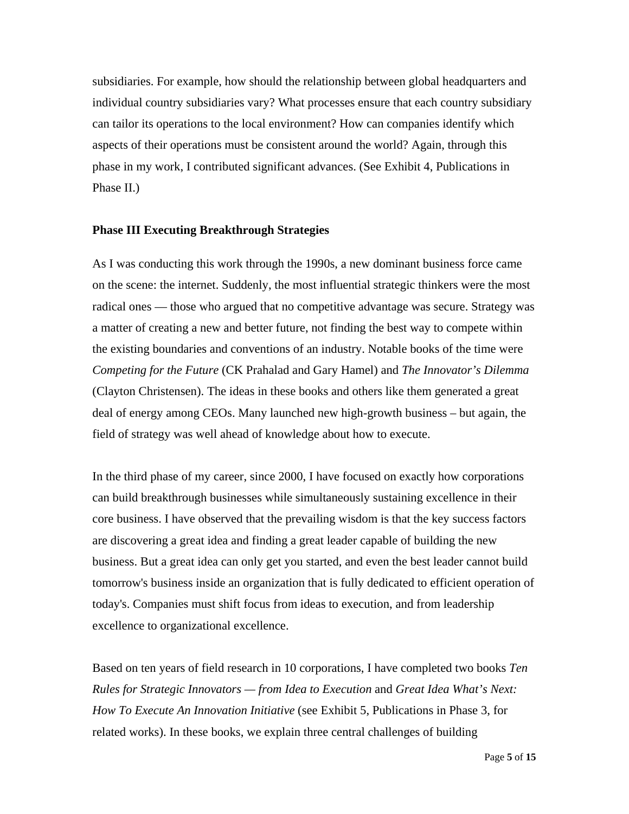subsidiaries. For example, how should the relationship between global headquarters and individual country subsidiaries vary? What processes ensure that each country subsidiary can tailor its operations to the local environment? How can companies identify which aspects of their operations must be consistent around the world? Again, through this phase in my work, I contributed significant advances. (See Exhibit 4, Publications in Phase II.)

#### **Phase III Executing Breakthrough Strategies**

As I was conducting this work through the 1990s, a new dominant business force came on the scene: the internet. Suddenly, the most influential strategic thinkers were the most radical ones — those who argued that no competitive advantage was secure. Strategy was a matter of creating a new and better future, not finding the best way to compete within the existing boundaries and conventions of an industry. Notable books of the time were *Competing for the Future* (CK Prahalad and Gary Hamel) and *The Innovator's Dilemma* (Clayton Christensen). The ideas in these books and others like them generated a great deal of energy among CEOs. Many launched new high-growth business – but again, the field of strategy was well ahead of knowledge about how to execute.

In the third phase of my career, since 2000, I have focused on exactly how corporations can build breakthrough businesses while simultaneously sustaining excellence in their core business. I have observed that the prevailing wisdom is that the key success factors are discovering a great idea and finding a great leader capable of building the new business. But a great idea can only get you started, and even the best leader cannot build tomorrow's business inside an organization that is fully dedicated to efficient operation of today's. Companies must shift focus from ideas to execution, and from leadership excellence to organizational excellence.

Based on ten years of field research in 10 corporations, I have completed two books *Ten Rules for Strategic Innovators — from Idea to Execution* and *Great Idea What's Next: How To Execute An Innovation Initiative* (see Exhibit 5, Publications in Phase 3, for related works). In these books, we explain three central challenges of building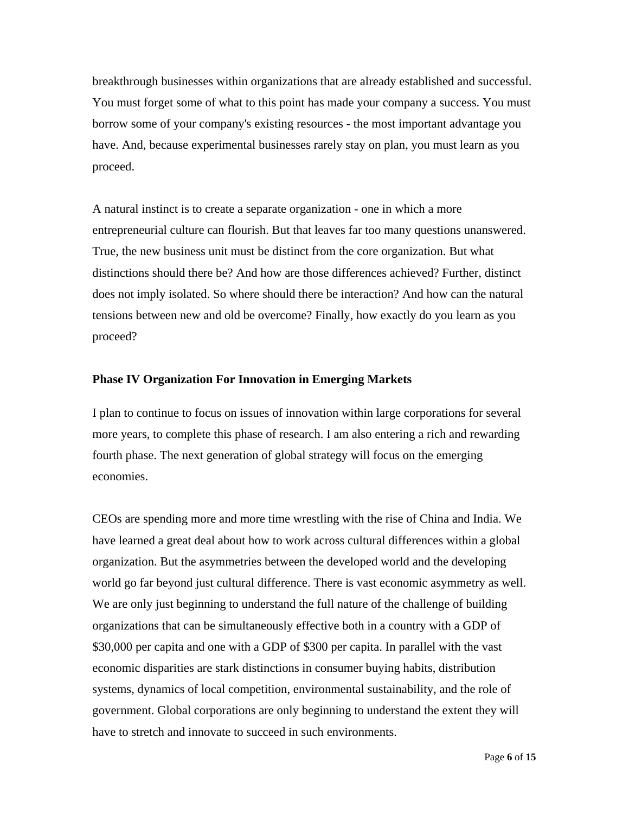breakthrough businesses within organizations that are already established and successful. You must forget some of what to this point has made your company a success. You must borrow some of your company's existing resources - the most important advantage you have. And, because experimental businesses rarely stay on plan, you must learn as you proceed.

A natural instinct is to create a separate organization - one in which a more entrepreneurial culture can flourish. But that leaves far too many questions unanswered. True, the new business unit must be distinct from the core organization. But what distinctions should there be? And how are those differences achieved? Further, distinct does not imply isolated. So where should there be interaction? And how can the natural tensions between new and old be overcome? Finally, how exactly do you learn as you proceed?

#### **Phase IV Organization For Innovation in Emerging Markets**

I plan to continue to focus on issues of innovation within large corporations for several more years, to complete this phase of research. I am also entering a rich and rewarding fourth phase. The next generation of global strategy will focus on the emerging economies.

CEOs are spending more and more time wrestling with the rise of China and India. We have learned a great deal about how to work across cultural differences within a global organization. But the asymmetries between the developed world and the developing world go far beyond just cultural difference. There is vast economic asymmetry as well. We are only just beginning to understand the full nature of the challenge of building organizations that can be simultaneously effective both in a country with a GDP of \$30,000 per capita and one with a GDP of \$300 per capita. In parallel with the vast economic disparities are stark distinctions in consumer buying habits, distribution systems, dynamics of local competition, environmental sustainability, and the role of government. Global corporations are only beginning to understand the extent they will have to stretch and innovate to succeed in such environments.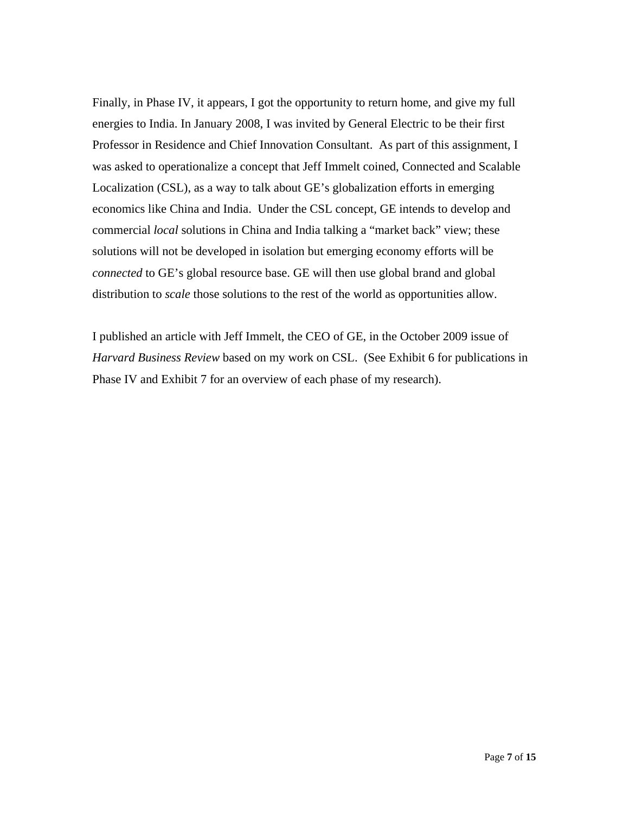Finally, in Phase IV, it appears, I got the opportunity to return home, and give my full energies to India. In January 2008, I was invited by General Electric to be their first Professor in Residence and Chief Innovation Consultant. As part of this assignment, I was asked to operationalize a concept that Jeff Immelt coined, Connected and Scalable Localization (CSL), as a way to talk about GE's globalization efforts in emerging economics like China and India. Under the CSL concept, GE intends to develop and commercial *local* solutions in China and India talking a "market back" view; these solutions will not be developed in isolation but emerging economy efforts will be *connected* to GE's global resource base. GE will then use global brand and global distribution to *scale* those solutions to the rest of the world as opportunities allow.

I published an article with Jeff Immelt, the CEO of GE, in the October 2009 issue of *Harvard Business Review* based on my work on CSL. (See Exhibit 6 for publications in Phase IV and Exhibit 7 for an overview of each phase of my research).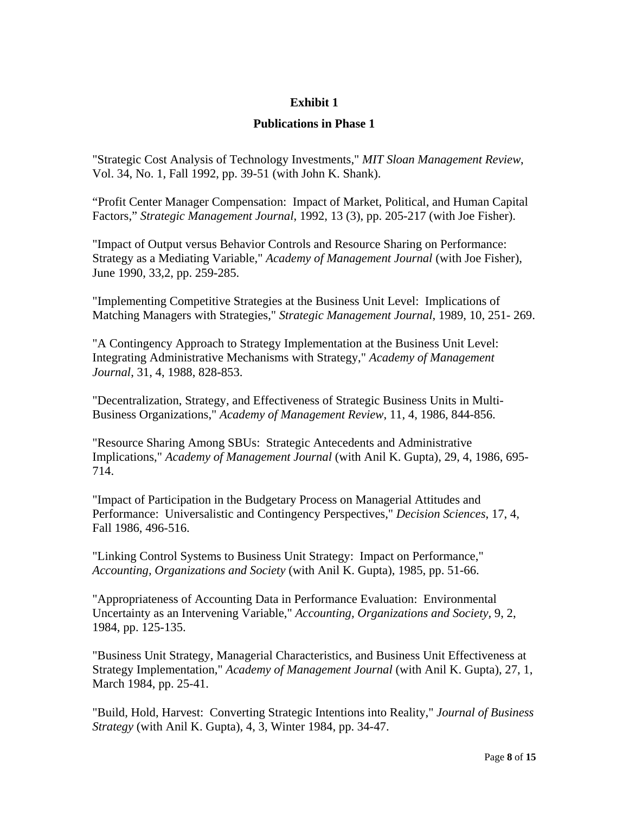#### **Publications in Phase 1**

"Strategic Cost Analysis of Technology Investments," *MIT Sloan Management Review*, Vol. 34, No. 1, Fall 1992, pp. 39-51 (with John K. Shank).

"Profit Center Manager Compensation: Impact of Market, Political, and Human Capital Factors," *Strategic Management Journal*, 1992, 13 (3), pp. 205-217 (with Joe Fisher).

"Impact of Output versus Behavior Controls and Resource Sharing on Performance: Strategy as a Mediating Variable," *Academy of Management Journal* (with Joe Fisher), June 1990, 33,2, pp. 259-285.

"Implementing Competitive Strategies at the Business Unit Level: Implications of Matching Managers with Strategies," *Strategic Management Journal*, 1989, 10, 251- 269.

"A Contingency Approach to Strategy Implementation at the Business Unit Level: Integrating Administrative Mechanisms with Strategy," *Academy of Management Journal*, 31, 4, 1988, 828-853.

"Decentralization, Strategy, and Effectiveness of Strategic Business Units in Multi-Business Organizations," *Academy of Management Review*, 11, 4, 1986, 844-856.

"Resource Sharing Among SBUs: Strategic Antecedents and Administrative Implications," *Academy of Management Journal* (with Anil K. Gupta), 29, 4, 1986, 695- 714.

"Impact of Participation in the Budgetary Process on Managerial Attitudes and Performance: Universalistic and Contingency Perspectives," *Decision Sciences*, 17, 4, Fall 1986, 496-516.

"Linking Control Systems to Business Unit Strategy: Impact on Performance," *Accounting, Organizations and Society* (with Anil K. Gupta), 1985, pp. 51-66.

"Appropriateness of Accounting Data in Performance Evaluation: Environmental Uncertainty as an Intervening Variable," *Accounting, Organizations and Society,* 9, 2, 1984, pp. 125-135.

"Business Unit Strategy, Managerial Characteristics, and Business Unit Effectiveness at Strategy Implementation," *Academy of Management Journal* (with Anil K. Gupta), 27, 1, March 1984, pp. 25-41.

"Build, Hold, Harvest: Converting Strategic Intentions into Reality," *Journal of Business Strategy* (with Anil K. Gupta), 4, 3, Winter 1984, pp. 34-47.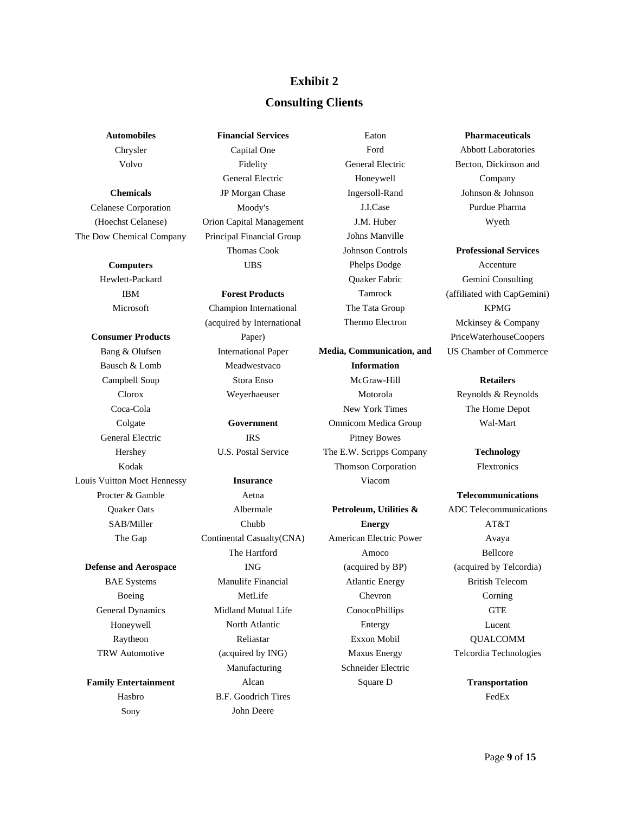#### **Consulting Clients**

**Automobiles**  Chrysler Volvo

**Chemicals**  Celanese Corporation (Hoechst Celanese) The Dow Chemical Company

#### **Computers**

Hewlett-Packard IBM Microsoft

**Consumer Products**  Bang & Olufsen

Bausch & Lomb Campbell Soup Clorox Coca-Cola Colgate General Electric Hershey Kodak Louis Vuitton Moet Hennessy Procter & Gamble Quaker Oats SAB/Miller The Gap

**Defense and Aerospace**  BAE Systems Boeing General Dynamics Honeywell Raytheon TRW Automotive

**Family Entertainment**  Hasbro Sony

**Financial Services**  Capital One Fidelity General Electric JP Morgan Chase Moody's Orion Capital Management Principal Financial Group Thomas Cook UBS

**Forest Products**  Champion International (acquired by International Paper) International Paper

> Meadwestvaco Stora Enso Weyerhaeuser

**Government**  IRS U.S. Postal Service

**Insurance**  Aetna Albermale Chubb Continental Casualty(CNA) The Hartford ING Manulife Financial MetLife Midland Mutual Life North Atlantic Reliastar (acquired by ING) Manufacturing Alcan B.F. Goodrich Tires John Deere

Ford General Electric Honeywell Ingersoll-Rand J.I.Case J.M. Huber Johns Manville Johnson Controls Phelps Dodge Quaker Fabric Tamrock The Tata Group Thermo Electron

Eaton

**Media, Communication, and Information**  McGraw-Hill Motorola New York Times Omnicom Medica Group Pitney Bowes The E.W. Scripps Company Thomson Corporation Viacom

**Petroleum, Utilities & Energy**  American Electric Power Amoco (acquired by BP) Atlantic Energy Chevron ConocoPhillips Entergy Exxon Mobil Maxus Energy Schneider Electric Square D

**Pharmaceuticals**  Abbott Laboratories Becton, Dickinson and Company Johnson & Johnson Purdue Pharma Wyeth

#### **Professional Services**

Accenture Gemini Consulting (affiliated with CapGemini) KPMG Mckinsey & Company PriceWaterhouseCoopers US Chamber of Commerce

#### **Retailers**

Reynolds & Reynolds The Home Depot Wal-Mart

> **Technology**  Flextronics

**Telecommunications**  ADC Telecommunications AT&T Avaya Bellcore (acquired by Telcordia) British Telecom Corning **GTE** Lucent QUALCOMM Telcordia Technologies

> **Transportation**  FedEx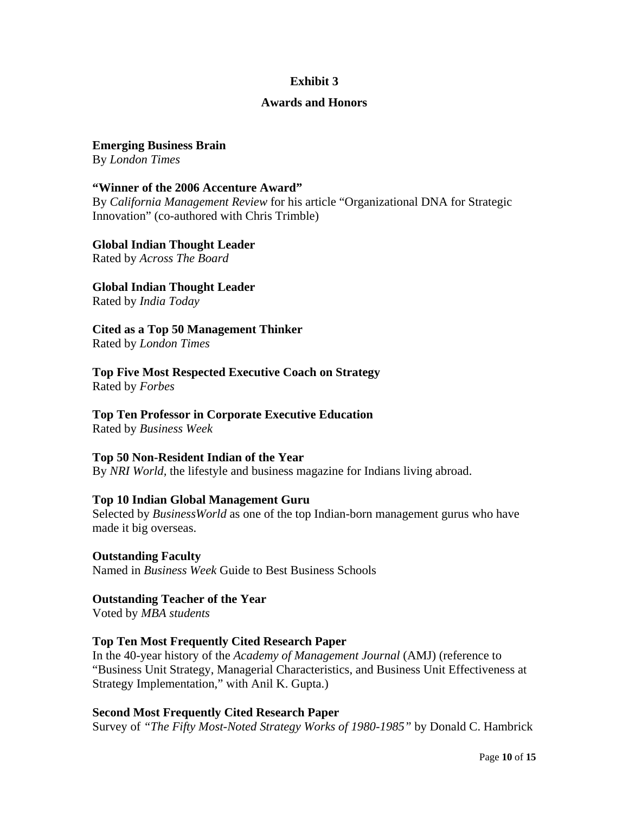#### **Awards and Honors**

**Emerging Business Brain**  By *London Times*

**"Winner of the 2006 Accenture Award"** 

By *California Management Review* for his article "Organizational DNA for Strategic Innovation" (co-authored with Chris Trimble)

**Global Indian Thought Leader** 

Rated by *Across The Board*

**Global Indian Thought Leader** 

Rated by *India Today*

**Cited as a Top 50 Management Thinker** 

Rated by *London Times*

**Top Five Most Respected Executive Coach on Strategy**  Rated by *Forbes*

**Top Ten Professor in Corporate Executive Education** 

Rated by *Business Week*

## **Top 50 Non-Resident Indian of the Year**

By *NRI World,* the lifestyle and business magazine for Indians living abroad.

## **Top 10 Indian Global Management Guru**

Selected by *BusinessWorld* as one of the top Indian-born management gurus who have made it big overseas.

**Outstanding Faculty**  Named in *Business Week* Guide to Best Business Schools

# **Outstanding Teacher of the Year**

Voted by *MBA students*

# **Top Ten Most Frequently Cited Research Paper**

In the 40-year history of the *Academy of Management Journal* (AMJ) (reference to "Business Unit Strategy, Managerial Characteristics, and Business Unit Effectiveness at Strategy Implementation," with Anil K. Gupta.)

## **Second Most Frequently Cited Research Paper**

Survey of *"The Fifty Most-Noted Strategy Works of 1980-1985"* by Donald C. Hambrick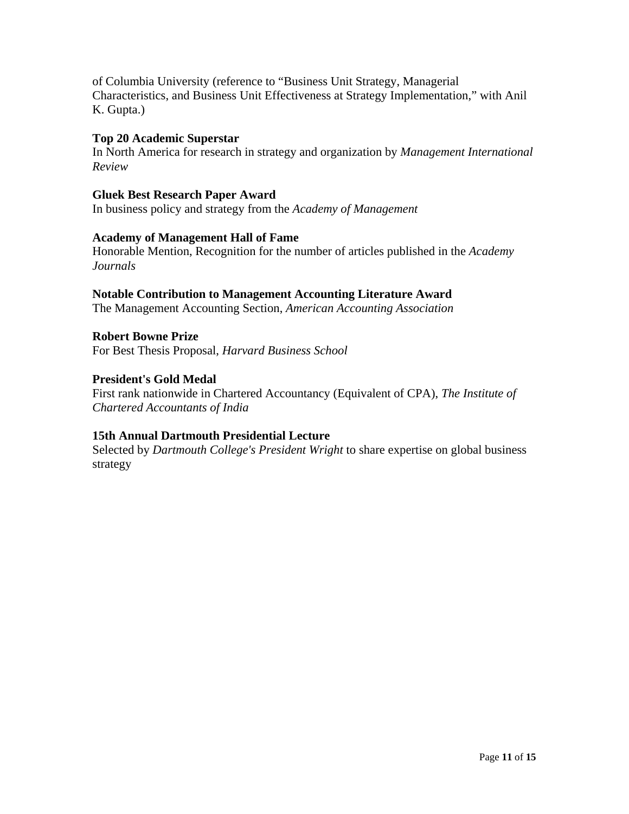of Columbia University (reference to "Business Unit Strategy, Managerial Characteristics, and Business Unit Effectiveness at Strategy Implementation," with Anil K. Gupta.)

#### **Top 20 Academic Superstar**

In North America for research in strategy and organization by *Management International Review*

#### **Gluek Best Research Paper Award**

In business policy and strategy from the *Academy of Management*

#### **Academy of Management Hall of Fame**

Honorable Mention, Recognition for the number of articles published in the *Academy Journals*

#### **Notable Contribution to Management Accounting Literature Award**

The Management Accounting Section, *American Accounting Association*

# **Robert Bowne Prize**

For Best Thesis Proposal, *Harvard Business School*

# **President's Gold Medal**

First rank nationwide in Chartered Accountancy (Equivalent of CPA), *The Institute of Chartered Accountants of India* 

## **15th Annual Dartmouth Presidential Lecture**

Selected by *Dartmouth College's President Wright* to share expertise on global business strategy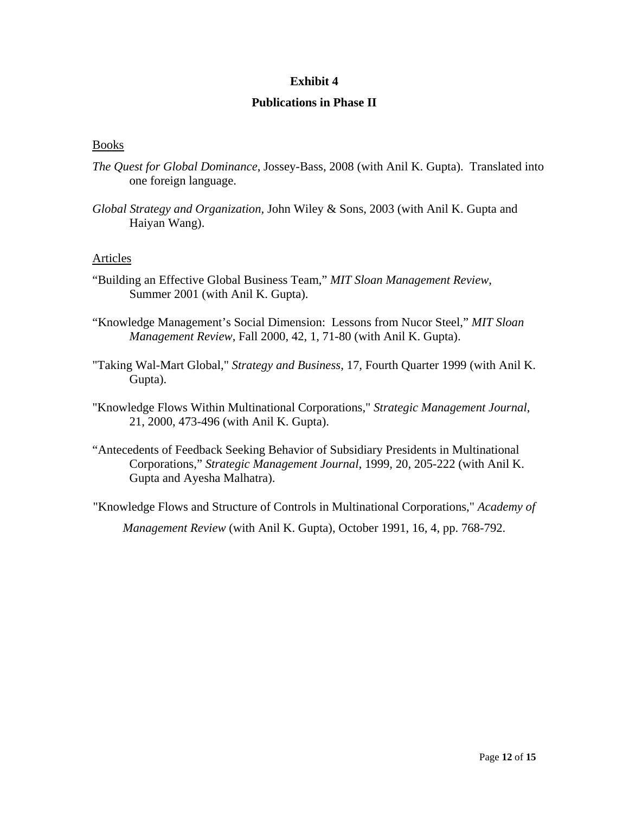#### **Publications in Phase II**

#### Books

- *The Quest for Global Dominance*, Jossey-Bass, 2008 (with Anil K. Gupta). Translated into one foreign language.
- *Global Strategy and Organization,* John Wiley & Sons, 2003 (with Anil K. Gupta and Haiyan Wang).

#### Articles

- "Building an Effective Global Business Team," *MIT Sloan Management Review*, Summer 2001 (with Anil K. Gupta).
- "Knowledge Management's Social Dimension: Lessons from Nucor Steel," *MIT Sloan Management Review*, Fall 2000, 42, 1, 71-80 (with Anil K. Gupta).
- "Taking Wal-Mart Global," *Strategy and Business*, 17, Fourth Quarter 1999 (with Anil K. Gupta).
- "Knowledge Flows Within Multinational Corporations," *Strategic Management Journal*, 21, 2000, 473-496 (with Anil K. Gupta).
- "Antecedents of Feedback Seeking Behavior of Subsidiary Presidents in Multinational Corporations," *Strategic Management Journal*, 1999, 20, 205-222 (with Anil K. Gupta and Ayesha Malhatra).

"Knowledge Flows and Structure of Controls in Multinational Corporations," *Academy of Management Review* (with Anil K. Gupta), October 1991, 16, 4, pp. 768-792.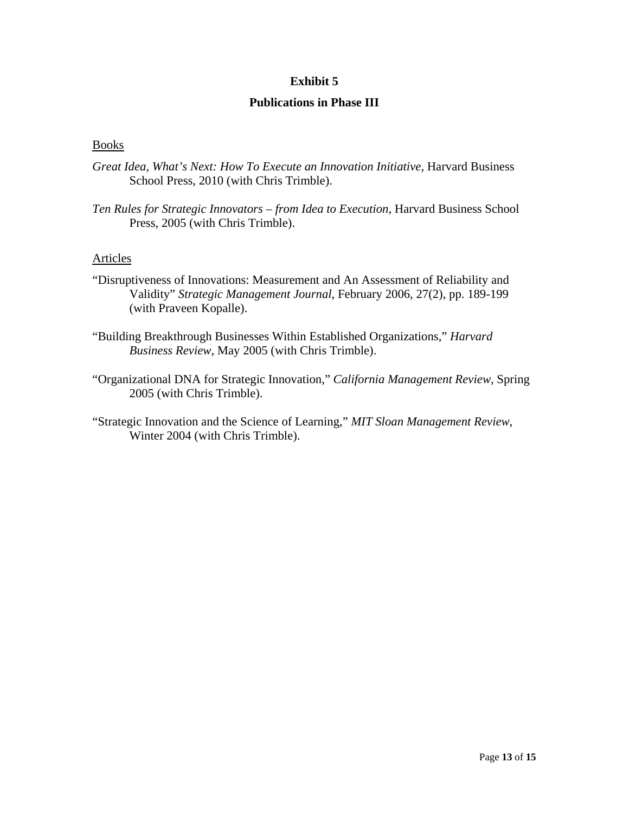#### **Publications in Phase III**

#### Books

- *Great Idea, What's Next: How To Execute an Innovation Initiative,* Harvard Business School Press, 2010 (with Chris Trimble).
- *Ten Rules for Strategic Innovators from Idea to Execution*, Harvard Business School Press, 2005 (with Chris Trimble).

#### **Articles**

- "Disruptiveness of Innovations: Measurement and An Assessment of Reliability and Validity" *Strategic Management Journal*, February 2006, 27(2), pp. 189-199 (with Praveen Kopalle).
- "Building Breakthrough Businesses Within Established Organizations," *Harvard Business Review*, May 2005 (with Chris Trimble).
- "Organizational DNA for Strategic Innovation," *California Management Review*, Spring 2005 (with Chris Trimble).
- "Strategic Innovation and the Science of Learning," *MIT Sloan Management Review*, Winter 2004 (with Chris Trimble).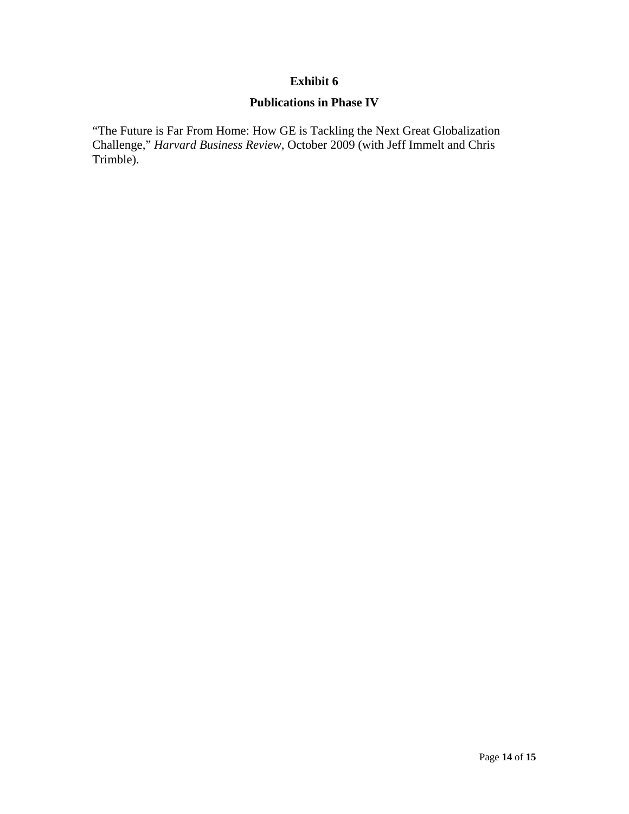# **Publications in Phase IV**

"The Future is Far From Home: How GE is Tackling the Next Great Globalization Challenge," *Harvard Business Review*, October 2009 (with Jeff Immelt and Chris Trimble).